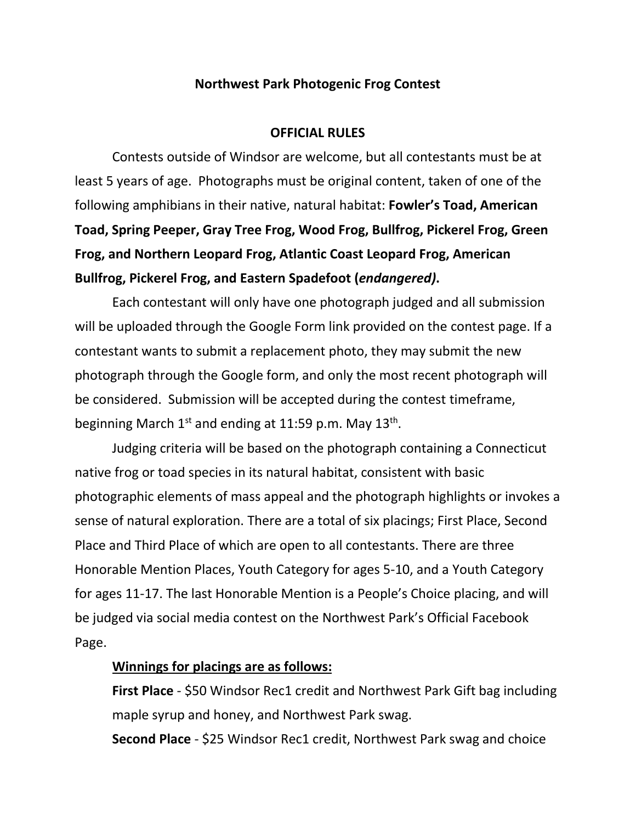## **Northwest Park Photogenic Frog Contest**

## **OFFICIAL RULES**

Contests outside of Windsor are welcome, but all contestants must be at least 5 years of age. Photographs must be original content, taken of one of the following amphibians in their native, natural habitat: **Fowler's Toad, American Toad, Spring Peeper, Gray Tree Frog, Wood Frog, Bullfrog, Pickerel Frog, Green Frog, and Northern Leopard Frog, Atlantic Coast Leopard Frog, American Bullfrog, Pickerel Frog, and Eastern Spadefoot (***endangered)***.** 

Each contestant will only have one photograph judged and all submission will be uploaded through the Google Form link provided on the contest page. If a contestant wants to submit a replacement photo, they may submit the new photograph through the Google form, and only the most recent photograph will be considered. Submission will be accepted during the contest timeframe, beginning March  $1^{st}$  and ending at 11:59 p.m. May 13<sup>th</sup>.

Judging criteria will be based on the photograph containing a Connecticut native frog or toad species in its natural habitat, consistent with basic photographic elements of mass appeal and the photograph highlights or invokes a sense of natural exploration. There are a total of six placings; First Place, Second Place and Third Place of which are open to all contestants. There are three Honorable Mention Places, Youth Category for ages 5-10, and a Youth Category for ages 11-17. The last Honorable Mention is a People's Choice placing, and will be judged via social media contest on the Northwest Park's Official Facebook Page.

## **Winnings for placings are as follows:**

**First Place** - \$50 Windsor Rec1 credit and Northwest Park Gift bag including maple syrup and honey, and Northwest Park swag.

**Second Place** - \$25 Windsor Rec1 credit, Northwest Park swag and choice